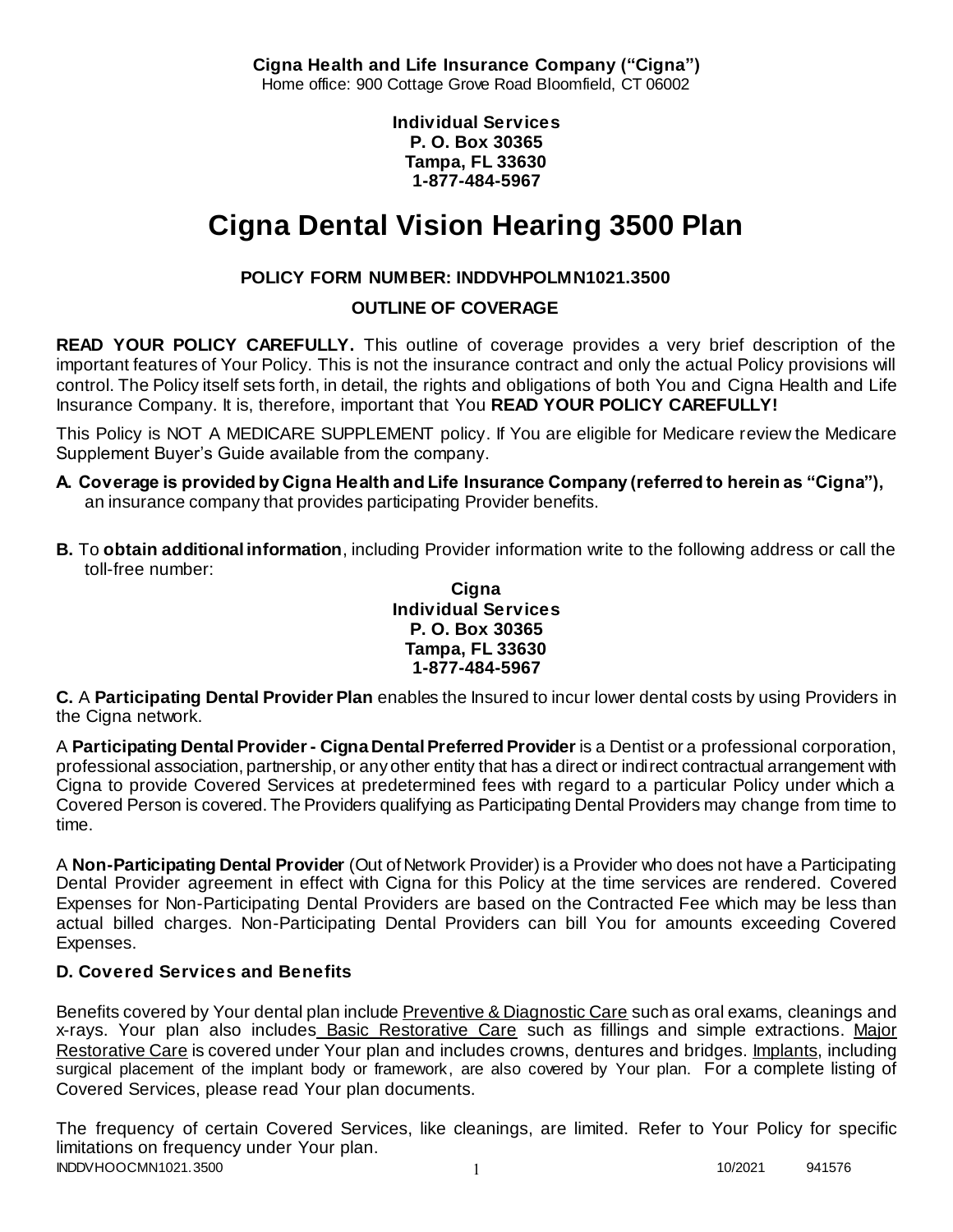**Cigna Health and Life Insurance Company ("Cigna")** Home office: 900 Cottage Grove Road Bloomfield, CT 06002

> **Individual Services P. O. Box 30365 Tampa, FL 33630 1-877-484-5967**

# **Cigna Dental Vision Hearing 3500 Plan**

# **POLICY FORM NUMBER: INDDVHPOLMN1021.3500**

**OUTLINE OF COVERAGE** 

**READ YOUR POLICY CAREFULLY.** This outline of coverage provides a very brief description of the important features of Your Policy. This is not the insurance contract and only the actual Policy provisions will control. The Policy itself sets forth, in detail, the rights and obligations of both You and Cigna Health and Life Insurance Company. It is, therefore, important that You **READ YOUR POLICY CAREFULLY!** 

This Policy is NOT A MEDICARE SUPPLEMENT policy. If You are eligible for Medicare review the Medicare Supplement Buyer's Guide available from the company.

- **A. Coverage is provided by Cigna Health and Life Insurance Company (referred to herein as "Cigna"),**  an insurance company that provides participating Provider benefits.
- **B.** To **obtain additional information**, including Provider information write to the following address or call the toll-free number:

#### **Cigna Individual Services P. O. Box 30365 Tampa, FL 33630 1-877-484-5967**

**C.** A **Participating Dental Provider Plan** enables the Insured to incur lower dental costs by using Providers in the Cigna network.

A **Participating Dental Provider - Cigna Dental Preferred Provider** is a Dentist or a professional corporation, professional association, partnership, or any other entity that has a direct or indirect contractual arrangement with Cigna to provide Covered Services at predetermined fees with regard to a particular Policy under which a Covered Person is covered. The Providers qualifying as Participating Dental Providers may change from time to time.

A **Non-Participating Dental Provider** (Out of Network Provider) is a Provider who does not have a Participating Dental Provider agreement in effect with Cigna for this Policy at the time services are rendered. Covered Expenses for Non-Participating Dental Providers are based on the Contracted Fee which may be less than actual billed charges. Non-Participating Dental Providers can bill You for amounts exceeding Covered Expenses.

# **D. Covered Services and Benefits**

Benefits covered by Your dental plan include Preventive & Diagnostic Care such as oral exams, cleanings and x-rays. Your plan also includes Basic Restorative Care such as fillings and simple extractions. Major Restorative Care is covered under Your plan and includes crowns, dentures and bridges. Implants, including surgical placement of the implant body or framework, are also covered by Your plan. For a complete listing of Covered Services, please read Your plan documents.

INDDVHOOCMN1021.3500 1 10/2021 941576 The frequency of certain Covered Services, like cleanings, are limited. Refer to Your Policy for specific limitations on frequency under Your plan.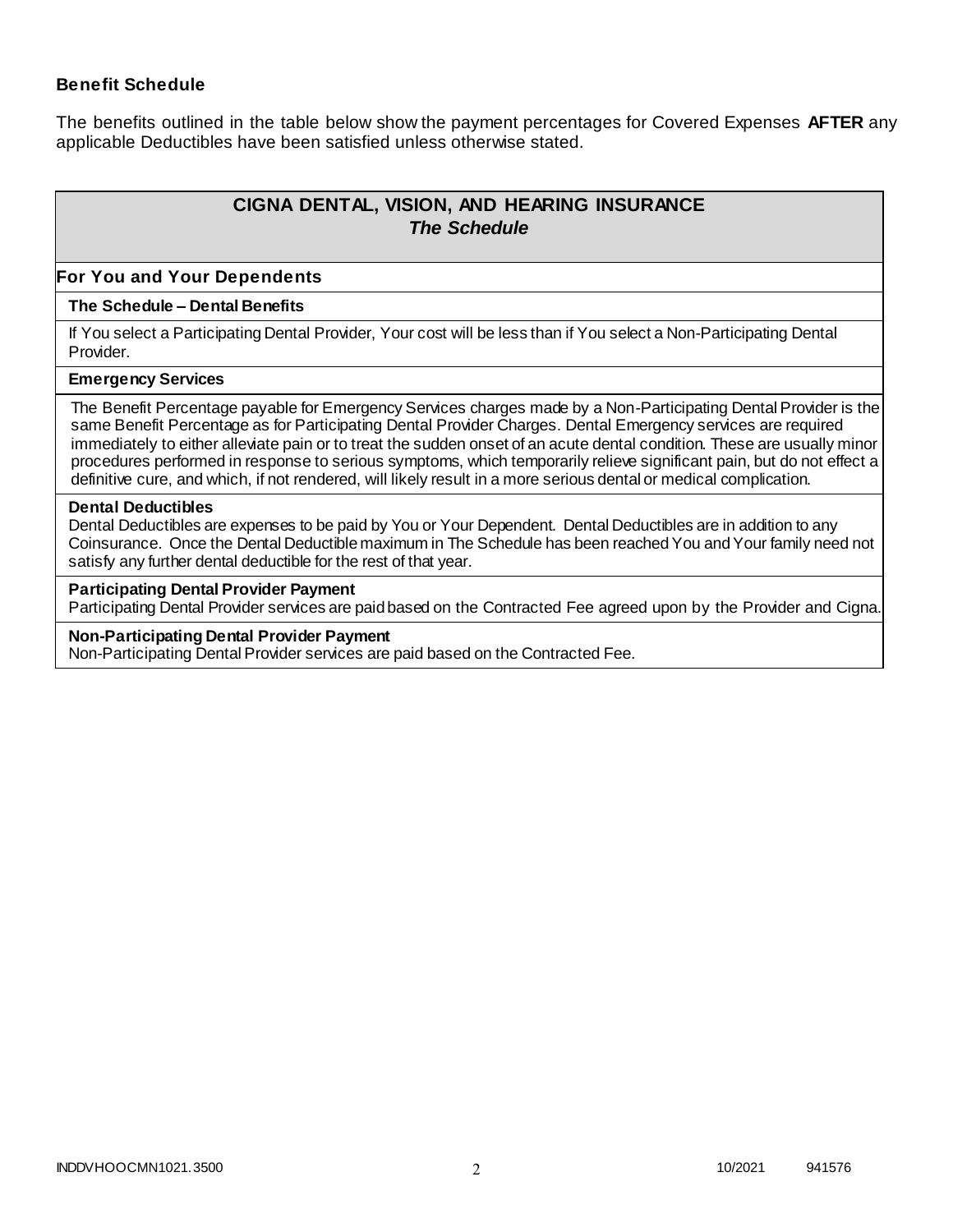### **Benefit Schedule**

The benefits outlined in the table below show the payment percentages for Covered Expenses **AFTER** any applicable Deductibles have been satisfied unless otherwise stated.

# **CIGNA DENTAL, VISION, AND HEARING INSURANCE** *The Schedule*

#### **For You and Your Dependents**

#### **The Schedule – Dental Benefits**

If You select a Participating Dental Provider, Your cost will be less than if You select a Non-Participating Dental Provider.

#### **Emergency Services**

The Benefit Percentage payable for Emergency Services charges made by a Non-Participating Dental Provider is the same Benefit Percentage as for Participating Dental Provider Charges. Dental Emergency services are required immediately to either alleviate pain or to treat the sudden onset of an acute dental condition. These are usually minor procedures performed in response to serious symptoms, which temporarily relieve significant pain, but do not effect a definitive cure, and which, if not rendered, will likely result in a more serious dental or medical complication.

#### **Dental Deductibles**

Dental Deductibles are expenses to be paid by You or Your Dependent. Dental Deductibles are in addition to any Coinsurance. Once the Dental Deductible maximum in The Schedule has been reached You and Your family need not satisfy any further dental deductible for the rest of that year.

#### **Participating Dental Provider Payment**

Participating Dental Provider services are paid based on the Contracted Fee agreed upon by the Provider and Cigna.

#### **Non-Participating Dental Provider Payment**

Non-Participating Dental Provider services are paid based on the Contracted Fee.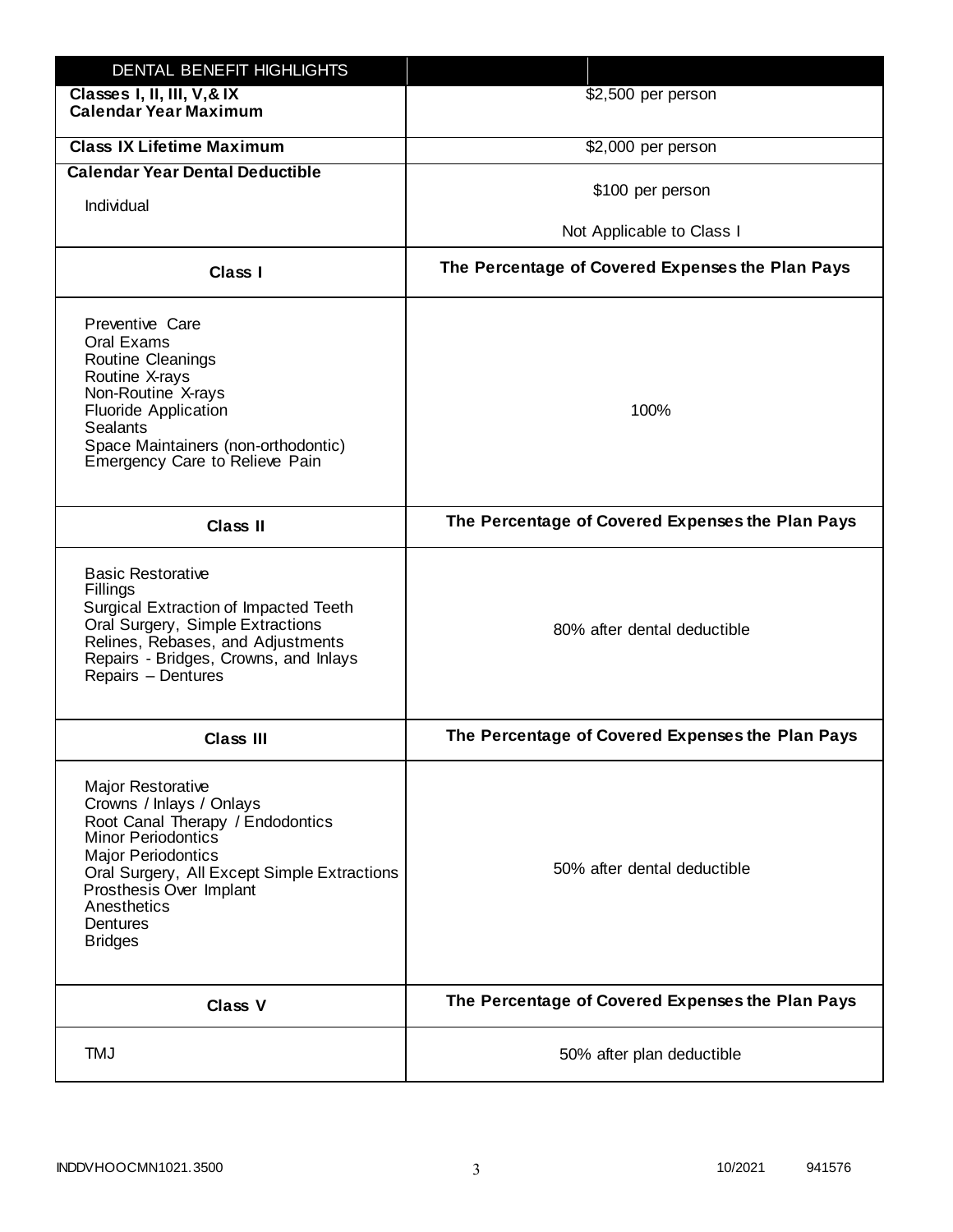| DENTAL BENEFIT HIGHLIGHTS                                                                                                                                                                                                                                                 |                                                  |
|---------------------------------------------------------------------------------------------------------------------------------------------------------------------------------------------------------------------------------------------------------------------------|--------------------------------------------------|
| Classes I, II, III, V, & IX<br><b>Calendar Year Maximum</b>                                                                                                                                                                                                               | \$2,500 per person                               |
| <b>Class IX Lifetime Maximum</b>                                                                                                                                                                                                                                          | \$2,000 per person                               |
| <b>Calendar Year Dental Deductible</b>                                                                                                                                                                                                                                    |                                                  |
| Individual                                                                                                                                                                                                                                                                | \$100 per person                                 |
|                                                                                                                                                                                                                                                                           | Not Applicable to Class I                        |
| Class I                                                                                                                                                                                                                                                                   | The Percentage of Covered Expenses the Plan Pays |
| Preventive Care<br>Oral Exams<br><b>Routine Cleanings</b><br>Routine X-rays<br>Non-Routine X-rays<br><b>Fluoride Application</b><br><b>Sealants</b><br>Space Maintainers (non-orthodontic)<br>Emergency Care to Relieve Pain                                              | 100%                                             |
| <b>Class II</b>                                                                                                                                                                                                                                                           | The Percentage of Covered Expenses the Plan Pays |
| <b>Basic Restorative</b><br>Fillings<br>Surgical Extraction of Impacted Teeth<br>Oral Surgery, Simple Extractions<br>Relines, Rebases, and Adjustments<br>Repairs - Bridges, Crowns, and Inlays<br>Repairs - Dentures                                                     | 80% after dental deductible                      |
| Class III                                                                                                                                                                                                                                                                 | The Percentage of Covered Expenses the Plan Pays |
| <b>Major Restorative</b><br>Crowns / Inlays / Onlays<br>Root Canal Therapy / Endodontics<br><b>Minor Periodontics</b><br><b>Major Periodontics</b><br>Oral Surgery, All Except Simple Extractions<br>Prosthesis Over Implant<br>Anesthetics<br>Dentures<br><b>Bridges</b> | 50% after dental deductible                      |
| <b>Class V</b>                                                                                                                                                                                                                                                            | The Percentage of Covered Expenses the Plan Pays |
| <b>TMJ</b>                                                                                                                                                                                                                                                                | 50% after plan deductible                        |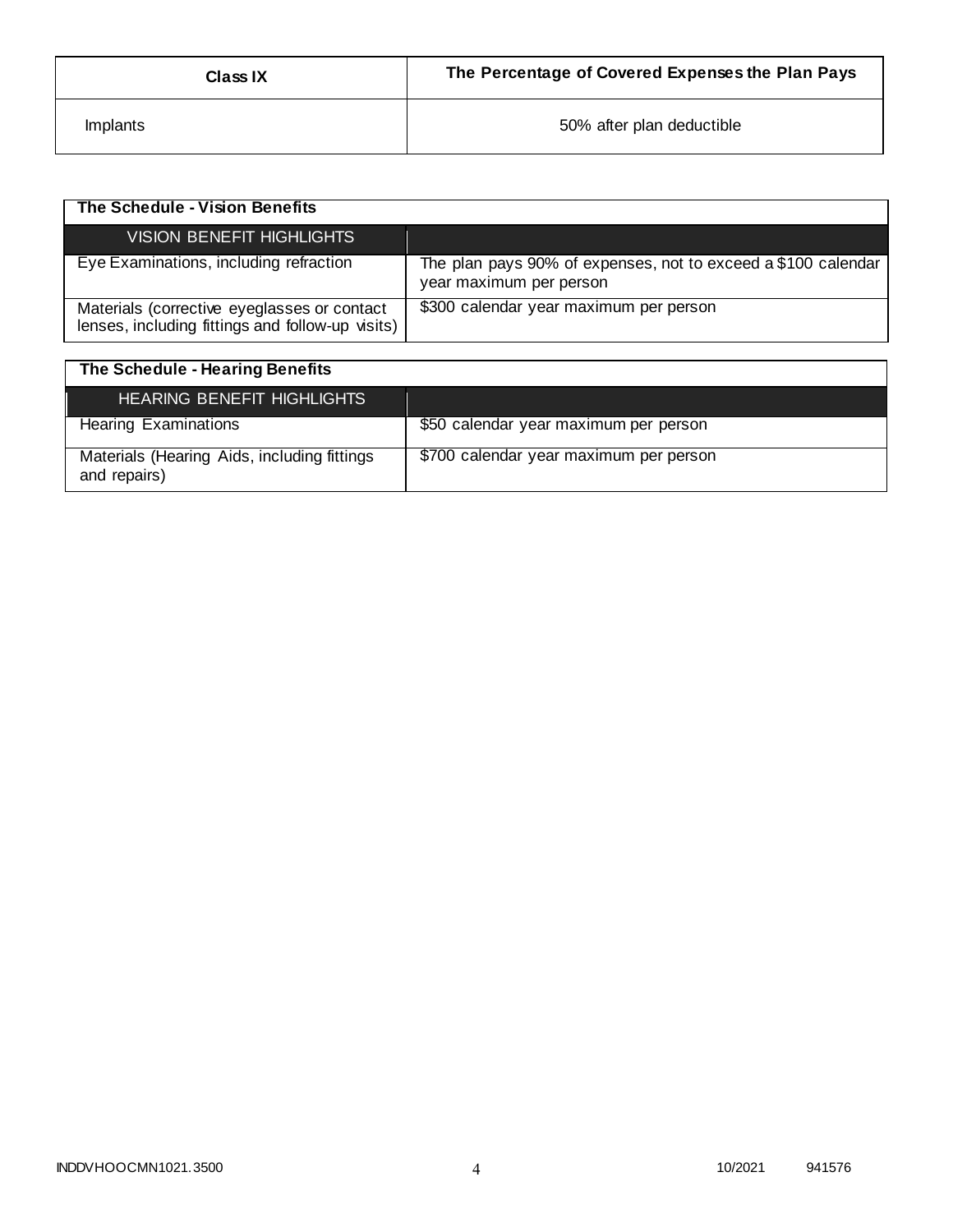| <b>Class IX</b> | The Percentage of Covered Expenses the Plan Pays |
|-----------------|--------------------------------------------------|
| <i>Implants</i> | 50% after plan deductible                        |

| The Schedule - Vision Benefits                                                                  |                                                                                          |
|-------------------------------------------------------------------------------------------------|------------------------------------------------------------------------------------------|
| VISION BENEFIT HIGHLIGHTS                                                                       |                                                                                          |
| Eye Examinations, including refraction                                                          | The plan pays 90% of expenses, not to exceed a \$100 calendar<br>year maximum per person |
| Materials (corrective eyeglasses or contact<br>lenses, including fittings and follow-up visits) | \$300 calendar year maximum per person                                                   |

| The Schedule - Hearing Benefits                             |                                        |
|-------------------------------------------------------------|----------------------------------------|
| <b>HEARING BENEFIT HIGHLIGHTS</b>                           |                                        |
| <b>Hearing Examinations</b>                                 | \$50 calendar year maximum per person  |
| Materials (Hearing Aids, including fittings<br>and repairs) | \$700 calendar year maximum per person |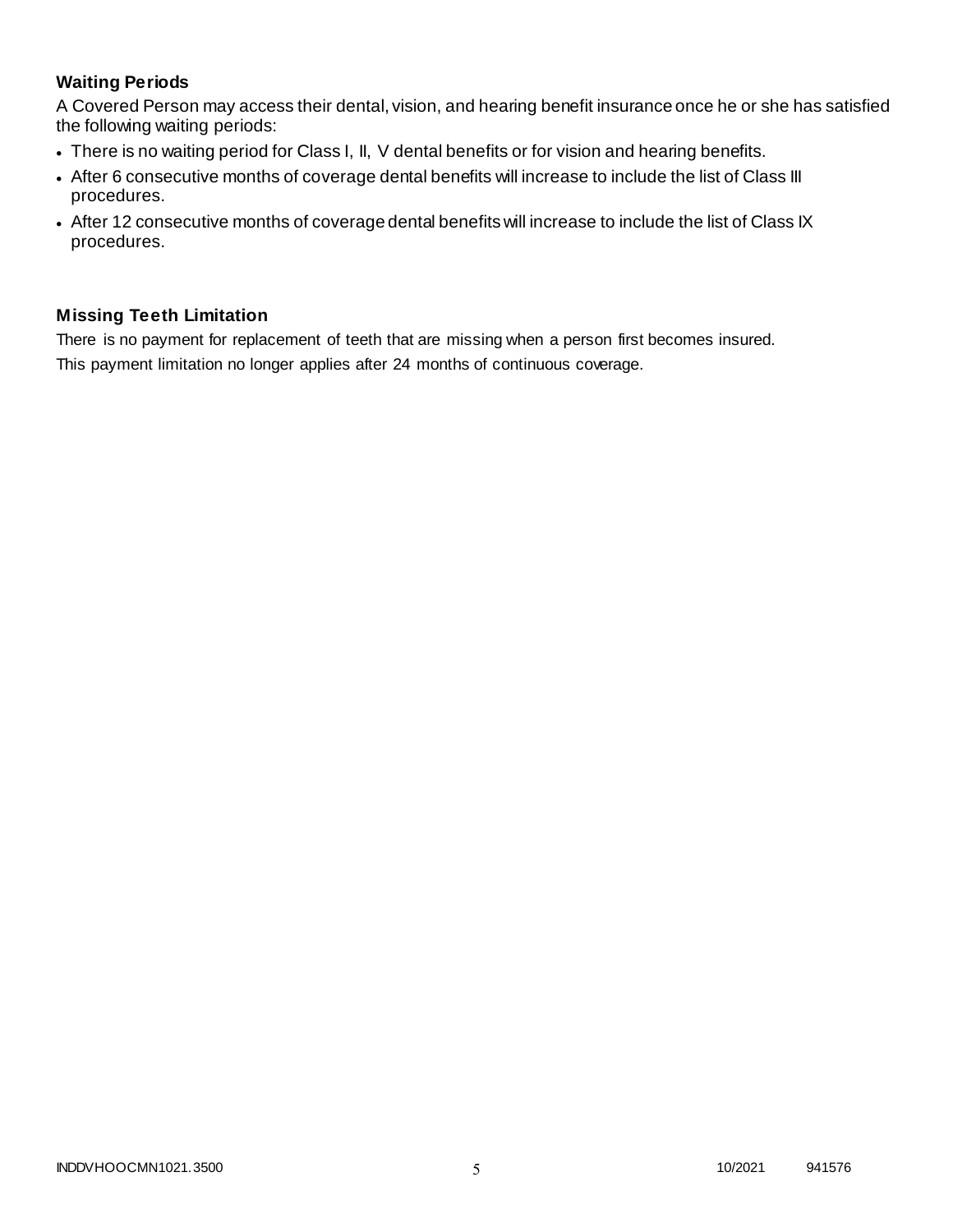# **Waiting Periods**

A Covered Person may access their dental, vision, and hearing benefit insurance once he or she has satisfied the following waiting periods:

- There is no waiting period for Class I, II, V dental benefits or for vision and hearing benefits.
- After 6 consecutive months of coverage dental benefits will increase to include the list of Class III procedures.
- After 12 consecutive months of coverage dental benefits will increase to include the list of Class IX procedures.

# **Missing Teeth Limitation**

There is no payment for replacement of teeth that are missing when a person first becomes insured. This payment limitation no longer applies after 24 months of continuous coverage.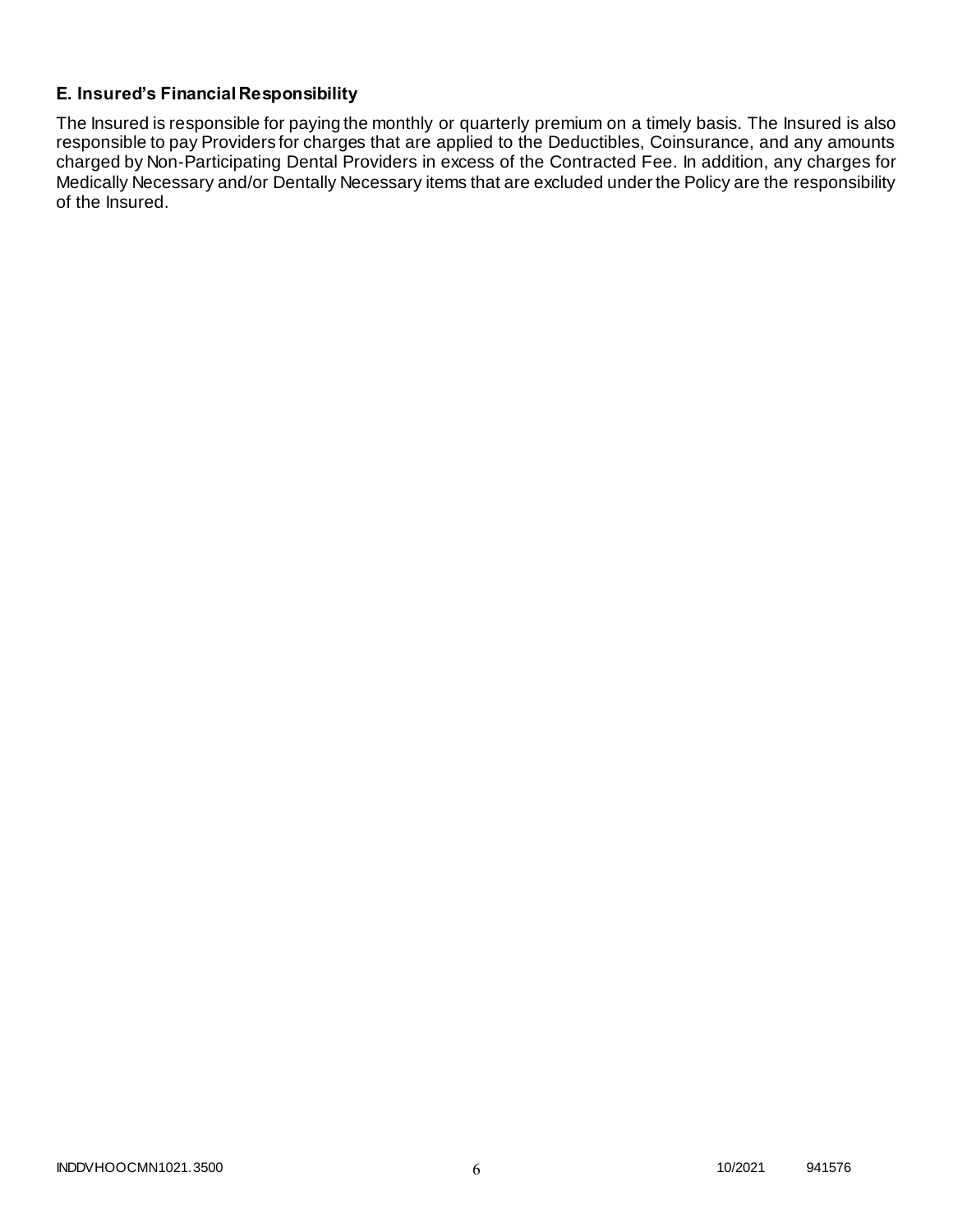# **E. Insured's Financial Responsibility**

The Insured is responsible for paying the monthly or quarterly premium on a timely basis. The Insured is also responsible to pay Providers for charges that are applied to the Deductibles, Coinsurance, and any amounts charged by Non-Participating Dental Providers in excess of the Contracted Fee. In addition, any charges for Medically Necessary and/or Dentally Necessary items that are excluded under the Policy are the responsibility of the Insured.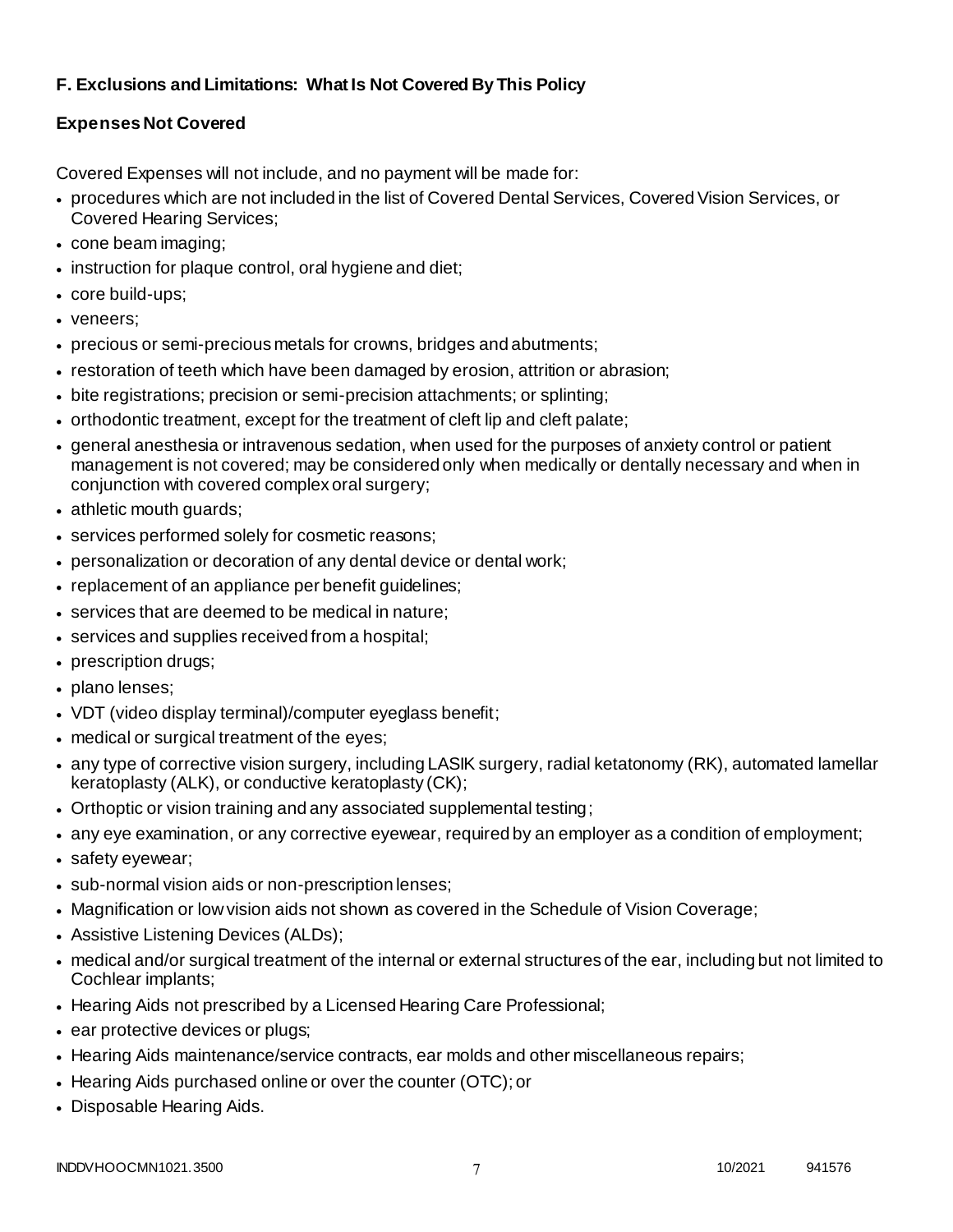# **F. Exclusions and Limitations: What Is Not Covered By This Policy**

# **Expenses Not Covered**

Covered Expenses will not include, and no payment will be made for:

- procedures which are not included in the list of Covered Dental Services, Covered Vision Services, or Covered Hearing Services;
- cone beam imaging;
- instruction for plaque control, oral hygiene and diet;
- core build-ups;
- veneers;
- precious or semi-precious metals for crowns, bridges and abutments;
- restoration of teeth which have been damaged by erosion, attrition or abrasion;
- bite registrations; precision or semi-precision attachments; or splinting;
- orthodontic treatment, except for the treatment of cleft lip and cleft palate;
- general anesthesia or intravenous sedation, when used for the purposes of anxiety control or patient management is not covered; may be considered only when medically or dentally necessary and when in conjunction with covered complex oral surgery;
- athletic mouth guards;
- services performed solely for cosmetic reasons;
- personalization or decoration of any dental device or dental work;
- replacement of an appliance per benefit guidelines;
- services that are deemed to be medical in nature;
- services and supplies received from a hospital;
- prescription drugs;
- plano lenses;
- VDT (video display terminal)/computer eyeglass benefit;
- medical or surgical treatment of the eyes;
- any type of corrective vision surgery, including LASIK surgery, radial ketatonomy (RK), automated lamellar keratoplasty (ALK), or conductive keratoplasty (CK);
- Orthoptic or vision training and any associated supplemental testing;
- any eye examination, or any corrective eyewear, required by an employer as a condition of employment;
- safety eyewear;
- sub-normal vision aids or non-prescription lenses;
- Magnification or low vision aids not shown as covered in the Schedule of Vision Coverage;
- Assistive Listening Devices (ALDs);
- medical and/or surgical treatment of the internal or external structures of the ear, including but not limited to Cochlear implants;
- Hearing Aids not prescribed by a Licensed Hearing Care Professional;
- ear protective devices or plugs;
- Hearing Aids maintenance/service contracts, ear molds and other miscellaneous repairs;
- Hearing Aids purchased online or over the counter (OTC); or
- Disposable Hearing Aids.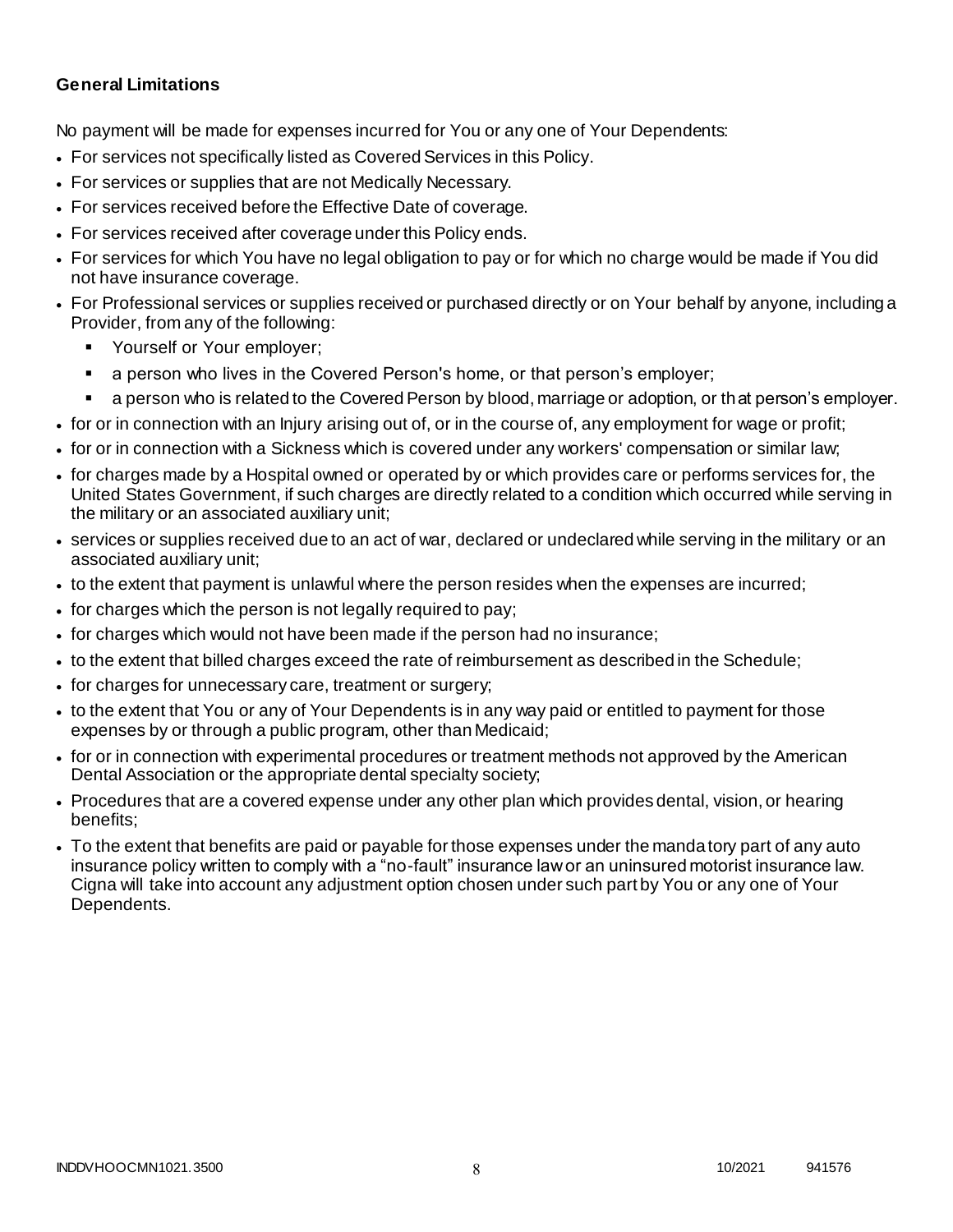### **General Limitations**

No payment will be made for expenses incurred for You or any one of Your Dependents:

- For services not specifically listed as Covered Services in this Policy.
- For services or supplies that are not Medically Necessary.
- For services received before the Effective Date of coverage.
- For services received after coverage under this Policy ends.
- For services for which You have no legal obligation to pay or for which no charge would be made if You did not have insurance coverage.
- For Professional services or supplies received or purchased directly or on Your behalf by anyone, including a Provider, from any of the following:
	- Yourself or Your employer;
	- a person who lives in the Covered Person's home, or that person's employer;
	- a person who is related to the Covered Person by blood, marriage or adoption, or that person's employer.
- for or in connection with an Injury arising out of, or in the course of, any employment for wage or profit;
- for or in connection with a Sickness which is covered under any workers' compensation or similar law;
- for charges made by a Hospital owned or operated by or which provides care or performs services for, the United States Government, if such charges are directly related to a condition which occurred while serving in the military or an associated auxiliary unit;
- services or supplies received due to an act of war, declared or undeclared while serving in the military or an associated auxiliary unit;
- to the extent that payment is unlawful where the person resides when the expenses are incurred;
- for charges which the person is not legally required to pay;
- for charges which would not have been made if the person had no insurance;
- to the extent that billed charges exceed the rate of reimbursement as described in the Schedule;
- for charges for unnecessary care, treatment or surgery;
- to the extent that You or any of Your Dependents is in any way paid or entitled to payment for those expenses by or through a public program, other than Medicaid;
- for or in connection with experimental procedures or treatment methods not approved by the American Dental Association or the appropriate dental specialty society;
- Procedures that are a covered expense under any other plan which provides dental, vision, or hearing benefits;
- To the extent that benefits are paid or payable for those expenses under the mandatory part of any auto insurance policy written to comply with a "no-fault" insurance law or an uninsured motorist insurance law. Cigna will take into account any adjustment option chosen under such part by You or any one of Your Dependents.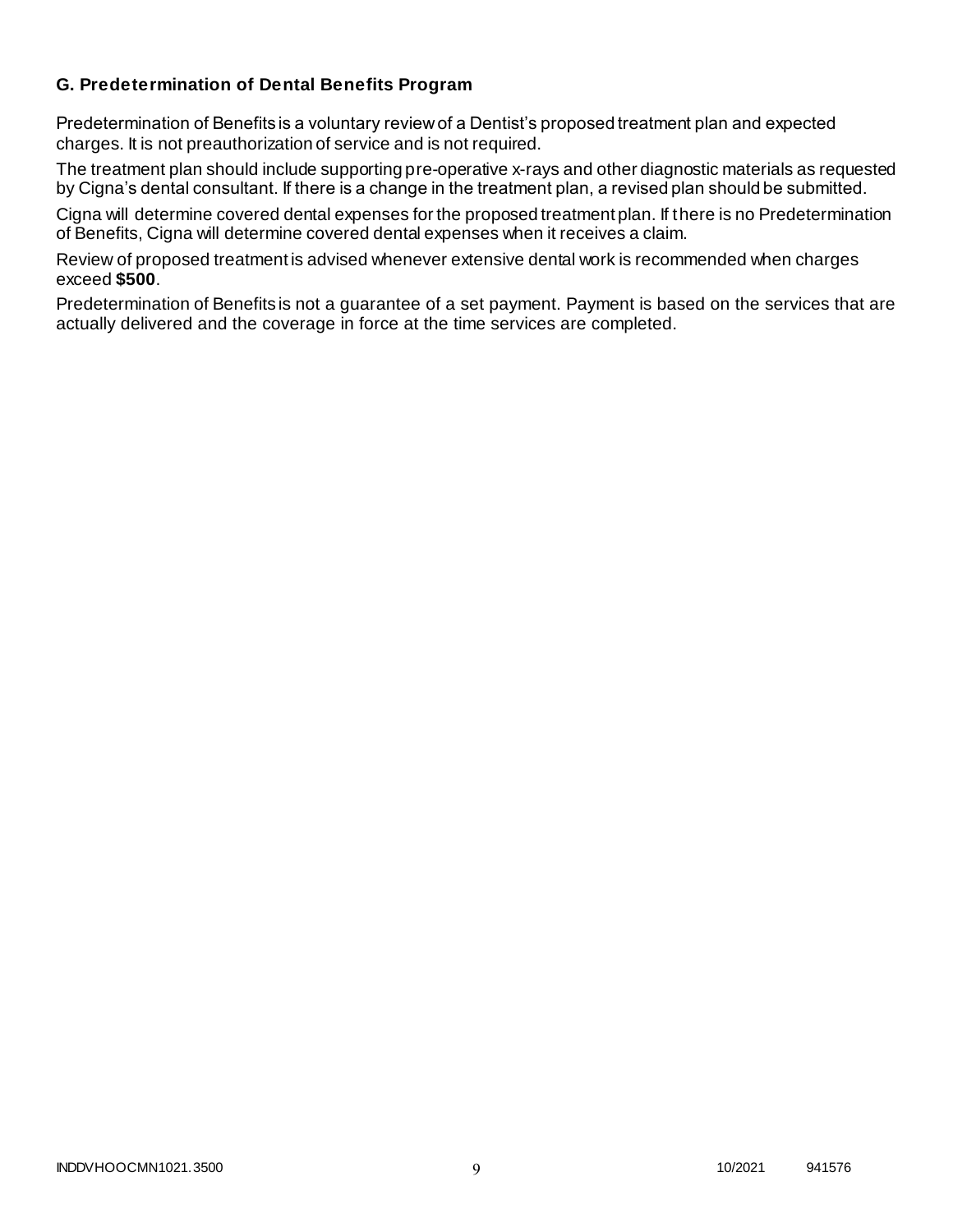### **G. Predetermination of Dental Benefits Program**

Predetermination of Benefits is a voluntary review of a Dentist's proposed treatment plan and expected charges. It is not preauthorization of service and is not required.

The treatment plan should include supporting pre-operative x-rays and other diagnostic materials as requested by Cigna's dental consultant. If there is a change in the treatment plan, a revised plan should be submitted.

Cigna will determine covered dental expenses for the proposed treatment plan. If there is no Predetermination of Benefits, Cigna will determine covered dental expenses when it receives a claim.

Review of proposed treatment is advised whenever extensive dental work is recommended when charges exceed **\$500**.

Predetermination of Benefits is not a guarantee of a set payment. Payment is based on the services that are actually delivered and the coverage in force at the time services are completed.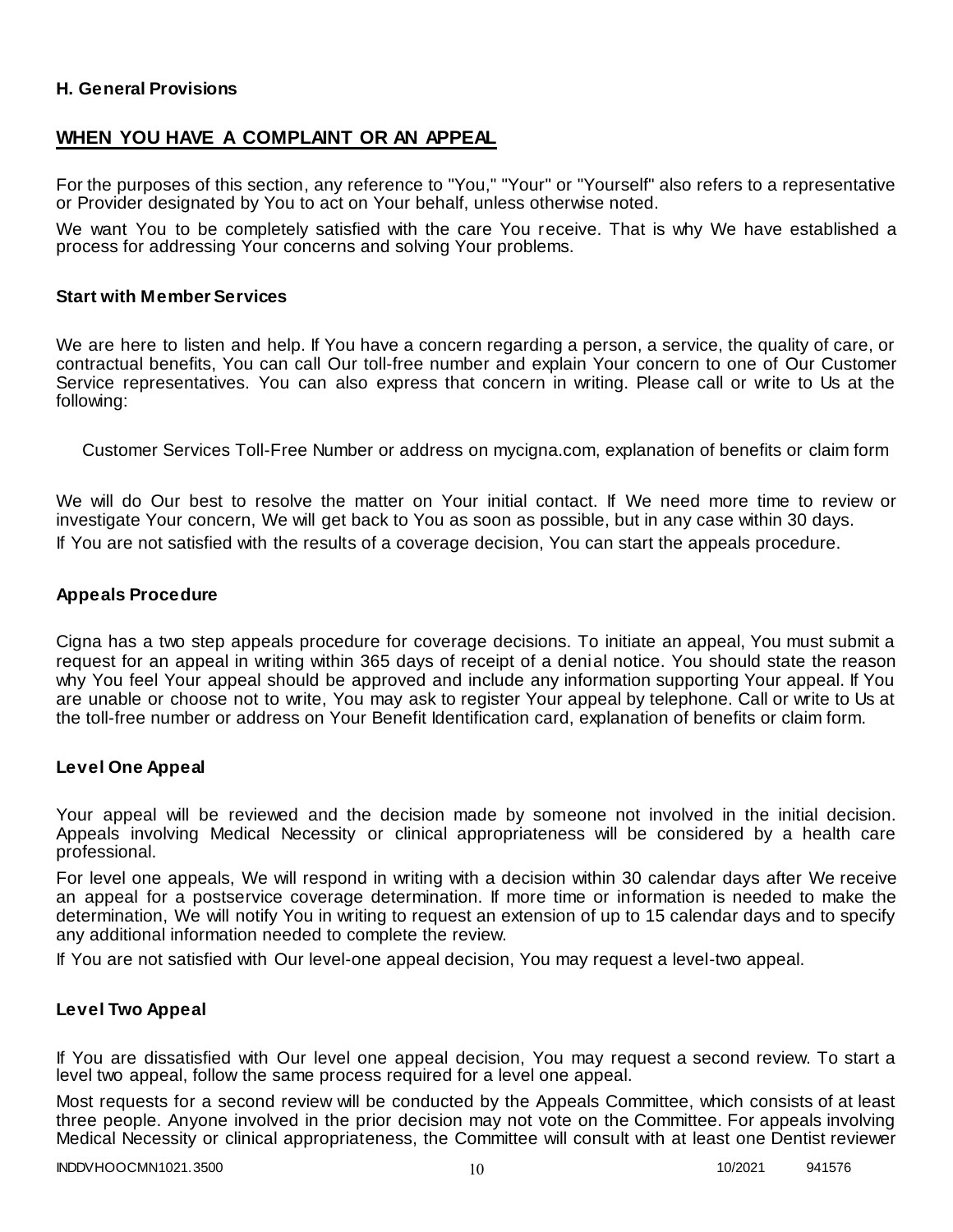### **H. General Provisions**

## **WHEN YOU HAVE A COMPLAINT OR AN APPEAL**

For the purposes of this section, any reference to "You," "Your" or "Yourself" also refers to a representative or Provider designated by You to act on Your behalf, unless otherwise noted.

We want You to be completely satisfied with the care You receive. That is why We have established a process for addressing Your concerns and solving Your problems.

#### **Start with Member Services**

We are here to listen and help. If You have a concern regarding a person, a service, the quality of care, or contractual benefits, You can call Our toll-free number and explain Your concern to one of Our Customer Service representatives. You can also express that concern in writing. Please call or write to Us at the following:

Customer Services Toll-Free Number or address on mycigna.com, explanation of benefits or claim form

We will do Our best to resolve the matter on Your initial contact. If We need more time to review or investigate Your concern, We will get back to You as soon as possible, but in any case within 30 days. If You are not satisfied with the results of a coverage decision, You can start the appeals procedure.

#### **Appeals Procedure**

Cigna has a two step appeals procedure for coverage decisions. To initiate an appeal, You must submit a request for an appeal in writing within 365 days of receipt of a denial notice. You should state the reason why You feel Your appeal should be approved and include any information supporting Your appeal. If You are unable or choose not to write, You may ask to register Your appeal by telephone. Call or write to Us at the toll-free number or address on Your Benefit Identification card, explanation of benefits or claim form.

#### **Level One Appeal**

Your appeal will be reviewed and the decision made by someone not involved in the initial decision. Appeals involving Medical Necessity or clinical appropriateness will be considered by a health care professional.

For level one appeals, We will respond in writing with a decision within 30 calendar days after We receive an appeal for a postservice coverage determination. If more time or information is needed to make the determination, We will notify You in writing to request an extension of up to 15 calendar days and to specify any additional information needed to complete the review.

If You are not satisfied with Our level-one appeal decision, You may request a level-two appeal.

#### **Level Two Appeal**

If You are dissatisfied with Our level one appeal decision, You may request a second review. To start a level two appeal, follow the same process required for a level one appeal.

Most requests for a second review will be conducted by the Appeals Committee, which consists of at least three people. Anyone involved in the prior decision may not vote on the Committee. For appeals involving Medical Necessity or clinical appropriateness, the Committee will consult with at least one Dentist reviewer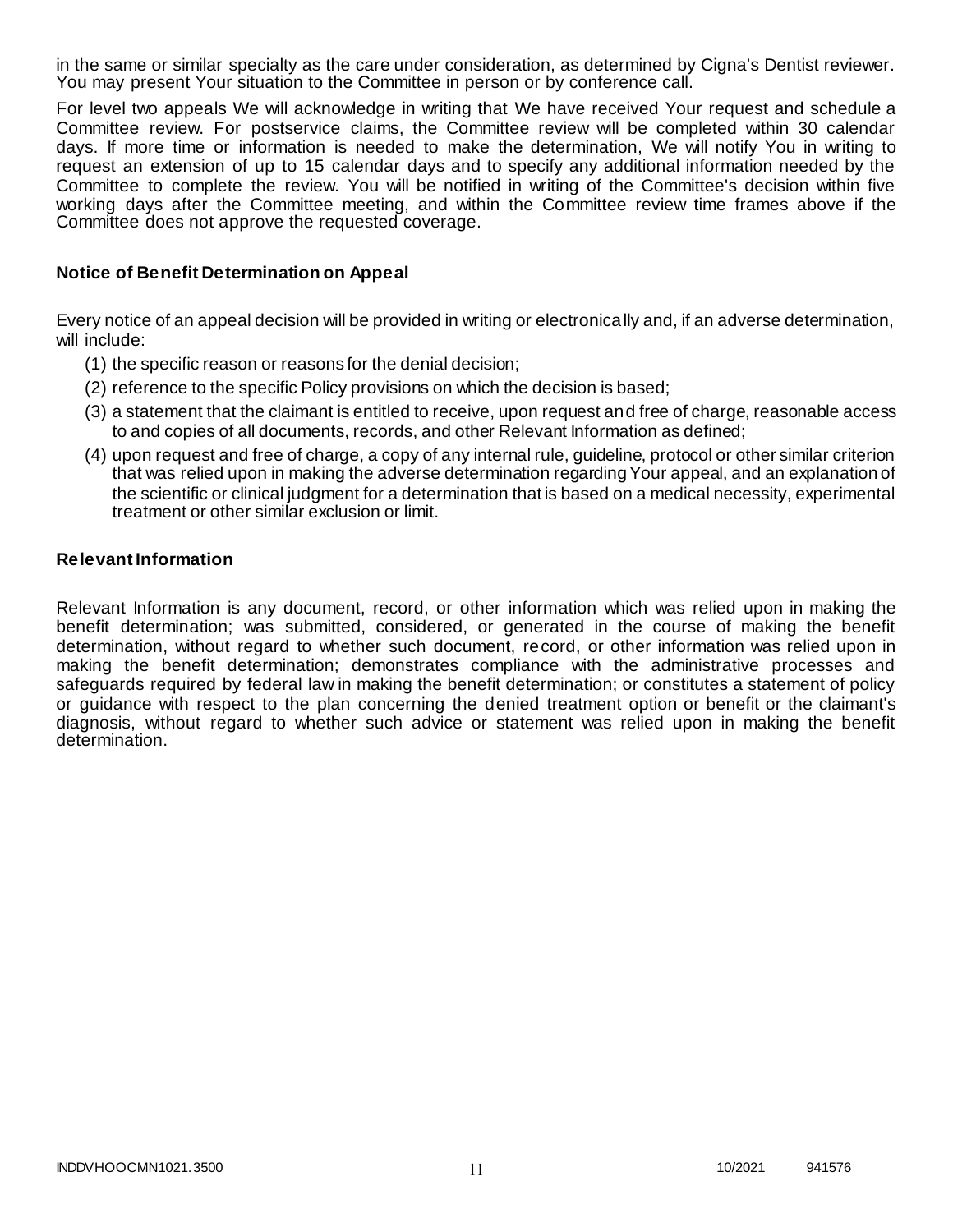in the same or similar specialty as the care under consideration, as determined by Cigna's Dentist reviewer. You may present Your situation to the Committee in person or by conference call.

For level two appeals We will acknowledge in writing that We have received Your request and schedule a Committee review. For postservice claims, the Committee review will be completed within 30 calendar days. If more time or information is needed to make the determination, We will notify You in writing to request an extension of up to 15 calendar days and to specify any additional information needed by the Committee to complete the review. You will be notified in writing of the Committee's decision within five working days after the Committee meeting, and within the Committee review time frames above if the Committee does not approve the requested coverage.

### **Notice of Benefit Determination on Appeal**

Every notice of an appeal decision will be provided in writing or electronically and, if an adverse determination, will include:

- (1) the specific reason or reasons for the denial decision;
- (2) reference to the specific Policy provisions on which the decision is based;
- (3) a statement that the claimant is entitled to receive, upon request and free of charge, reasonable access to and copies of all documents, records, and other Relevant Information as defined;
- (4) upon request and free of charge, a copy of any internal rule, guideline, protocol or other similar criterion that was relied upon in making the adverse determination regarding Your appeal, and an explanation of the scientific or clinical judgment for a determination that is based on a medical necessity, experimental treatment or other similar exclusion or limit.

#### **Relevant Information**

Relevant Information is any document, record, or other information which was relied upon in making the benefit determination; was submitted, considered, or generated in the course of making the benefit determination, without regard to whether such document, record, or other information was relied upon in making the benefit determination; demonstrates compliance with the administrative processes and safeguards required by federal law in making the benefit determination; or constitutes a statement of policy or guidance with respect to the plan concerning the denied treatment option or benefit or the claimant's diagnosis, without regard to whether such advice or statement was relied upon in making the benefit determination.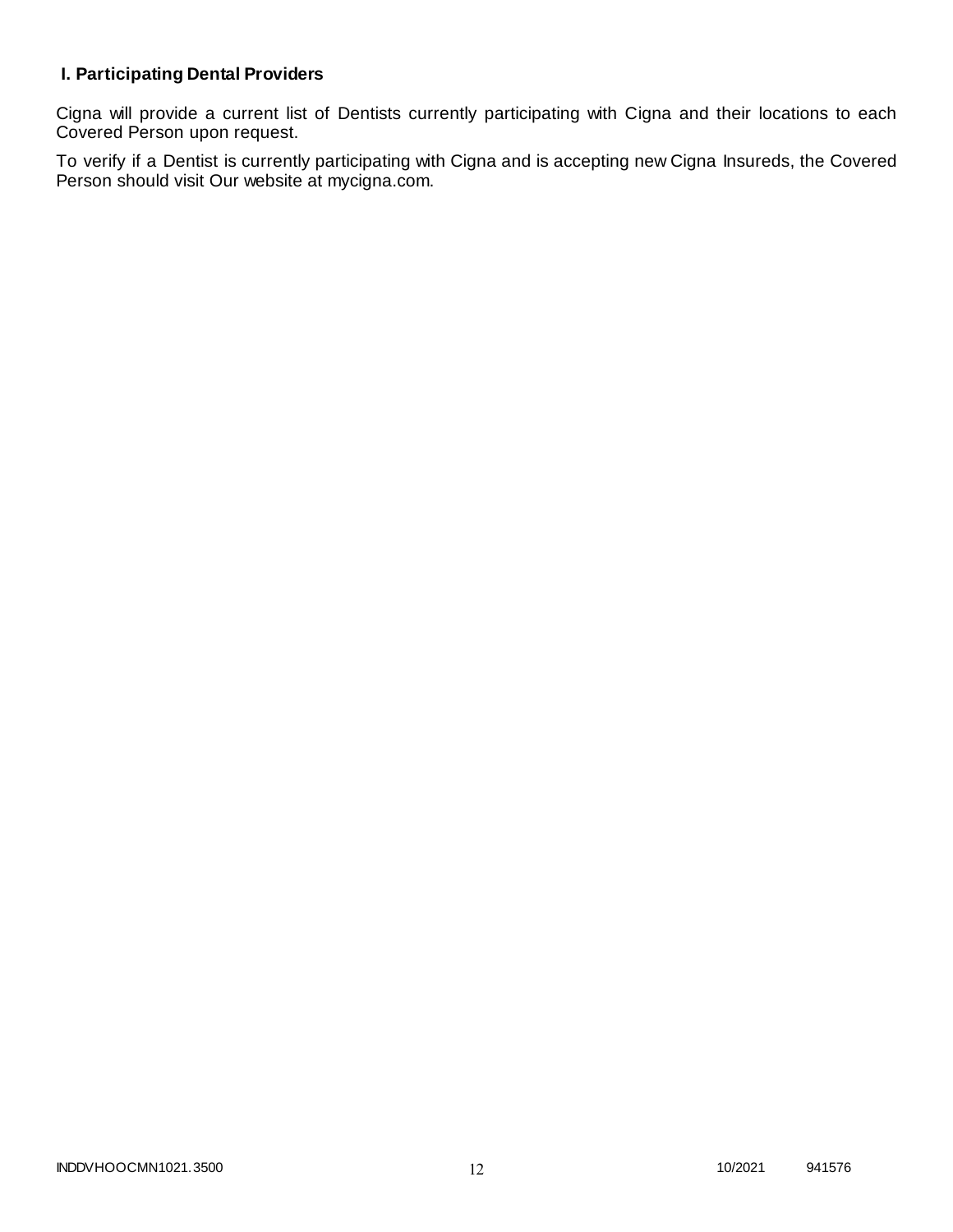# **I. Participating Dental Providers**

Cigna will provide a current list of Dentists currently participating with Cigna and their locations to each Covered Person upon request.

To verify if a Dentist is currently participating with Cigna and is accepting new Cigna Insureds, the Covered Person should visit Our website at mycigna.com.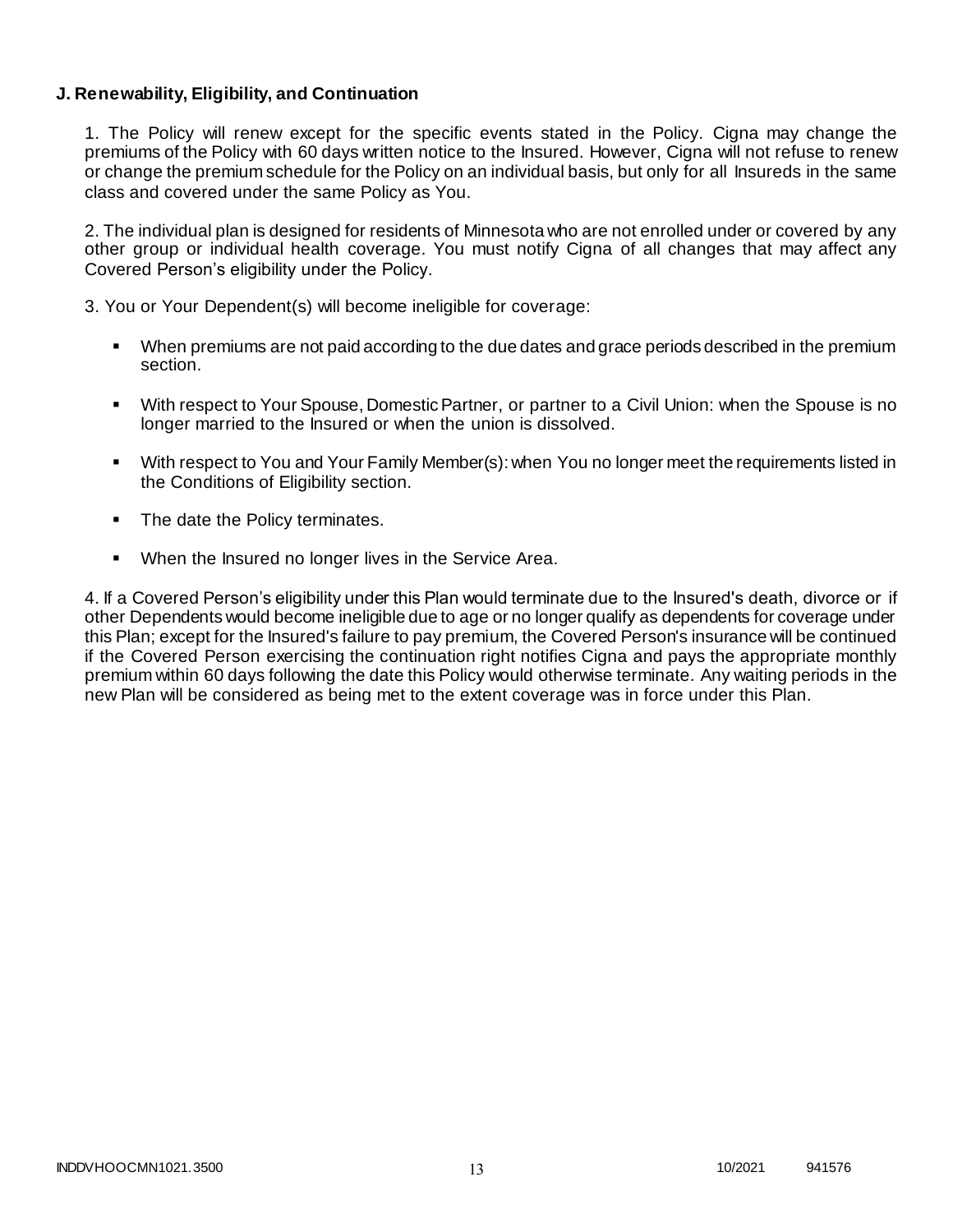### **J. Renewability, Eligibility, and Continuation**

1. The Policy will renew except for the specific events stated in the Policy. Cigna may change the premiums of the Policy with 60 days written notice to the Insured. However, Cigna will not refuse to renew or change the premium schedule for the Policy on an individual basis, but only for all Insureds in the same class and covered under the same Policy as You.

2. The individual plan is designed for residents of Minnesota who are not enrolled under or covered by any other group or individual health coverage. You must notify Cigna of all changes that may affect any Covered Person's eligibility under the Policy.

3. You or Your Dependent(s) will become ineligible for coverage:

- When premiums are not paid according to the due dates and grace periods described in the premium section.
- With respect to Your Spouse, Domestic Partner, or partner to a Civil Union: when the Spouse is no longer married to the Insured or when the union is dissolved.
- With respect to You and Your Family Member(s): when You no longer meet the requirements listed in the Conditions of Eligibility section.
- The date the Policy terminates.
- When the Insured no longer lives in the Service Area.

4. If a Covered Person's eligibility under this Plan would terminate due to the Insured's death, divorce or if other Dependents would become ineligible due to age or no longer qualify as dependents for coverage under this Plan; except for the Insured's failure to pay premium, the Covered Person's insurance will be continued if the Covered Person exercising the continuation right notifies Cigna and pays the appropriate monthly premium within 60 days following the date this Policy would otherwise terminate. Any waiting periods in the new Plan will be considered as being met to the extent coverage was in force under this Plan.